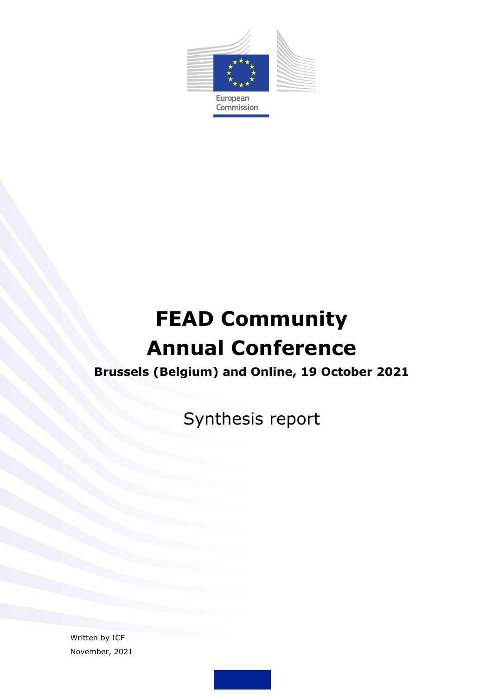

# **FEAD Community Annual Conference**

# **Brussels (Belgium) and Online, 19 October 2021**

Synthesis report

Written by ICF November, 2021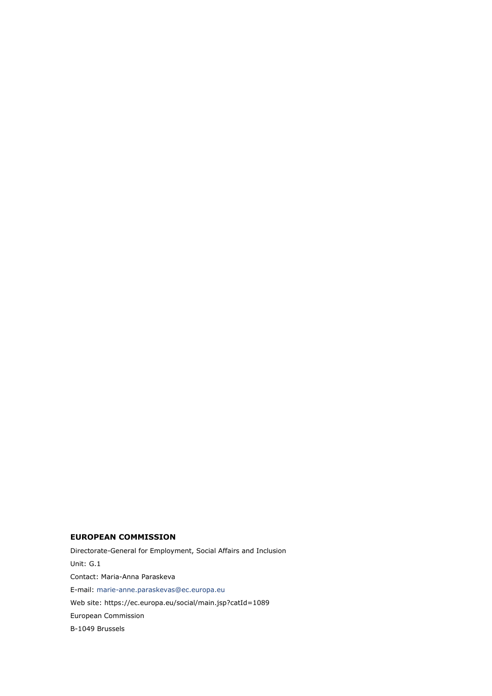#### **EUROPEAN COMMISSION**

Directorate-General for Employment, Social Affairs and Inclusion Unit: G.1 Contact: Maria-Anna Paraskeva E-mail: [marie-anne.paraskevas@ec.europa.eu](mailto:marie-anne.paraskevas@ec.europa.eu) Web site: https://ec.europa.eu/social/main.jsp?catId=1089 European Commission B-1049 Brussels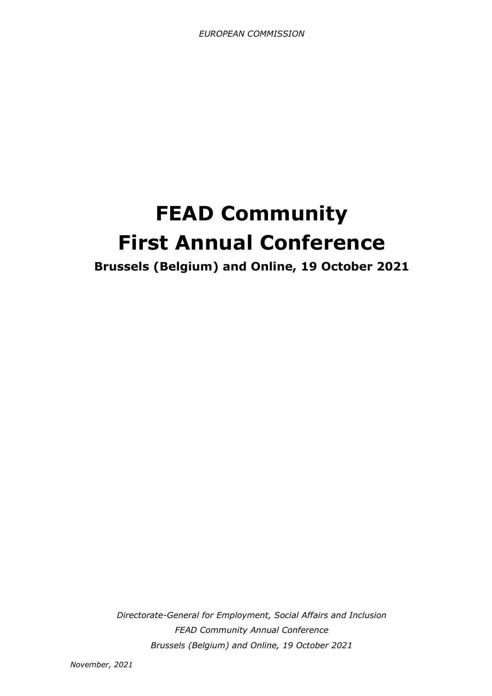# **FEAD Community First Annual Conference**

**Brussels (Belgium) and Online, 19 October 2021**

*Directorate-General for Employment, Social Affairs and Inclusion FEAD Community Annual Conference Brussels (Belgium) and Online, 19 October 2021*

*November, 2021*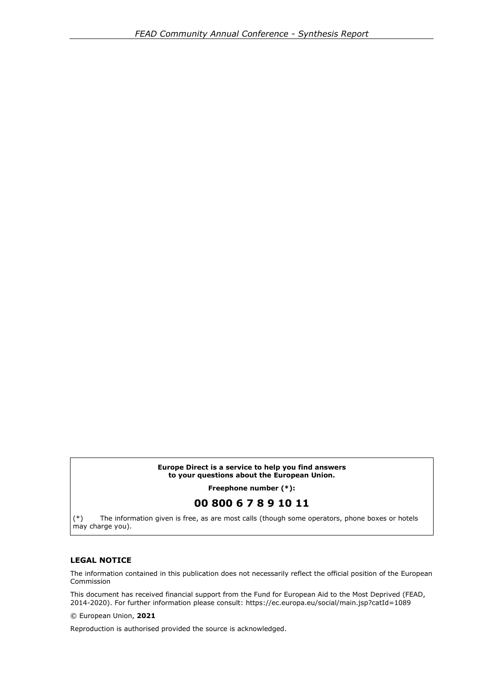#### **Europe Direct is a service to help you find answers to your questions about the European Union.**

**Freephone number (\*):**

#### **00 800 6 7 8 9 10 11**

(\*) The information given is free, as are most calls (though some operators, phone boxes or hotels may charge you).

#### **LEGAL NOTICE**

The information contained in this publication does not necessarily reflect the official position of the European Commission

This document has received financial support from the Fund for European Aid to the Most Deprived (FEAD, 2014-2020). For further information please consult: https://ec.europa.eu/social/main.jsp?catId=1089

© European Union, **2021**

Reproduction is authorised provided the source is acknowledged.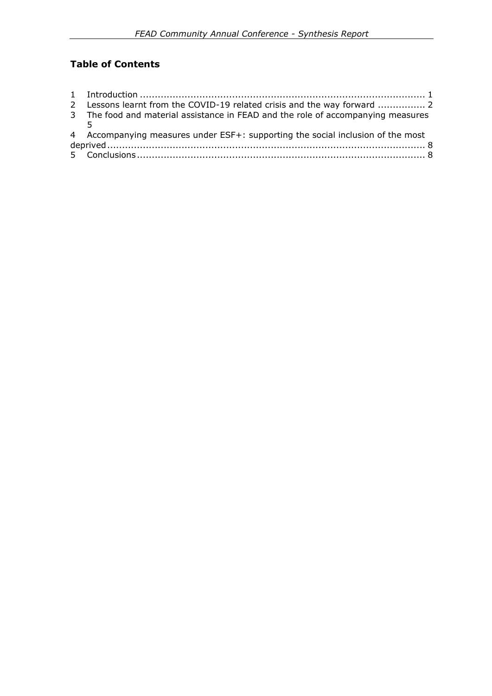### **Table of Contents**

| 2 Lessons learnt from the COVID-19 related crisis and the way forward  2         |  |
|----------------------------------------------------------------------------------|--|
| 3 The food and material assistance in FEAD and the role of accompanying measures |  |
|                                                                                  |  |
| 4 Accompanying measures under ESF+: supporting the social inclusion of the most  |  |
|                                                                                  |  |
|                                                                                  |  |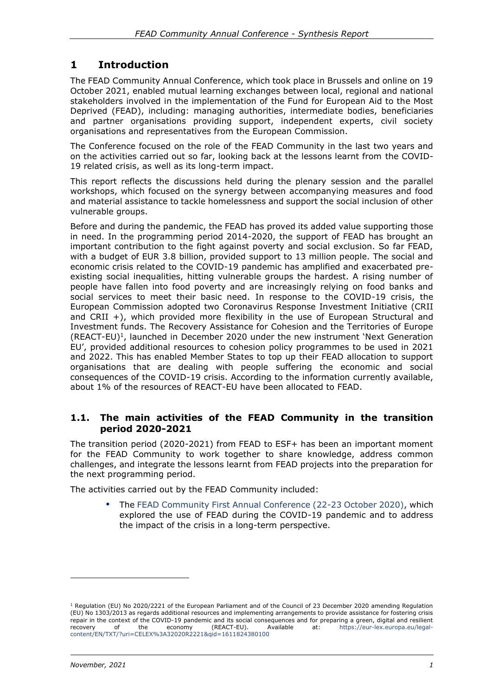### <span id="page-5-0"></span>**1 Introduction**

The FEAD Community Annual Conference, which took place in Brussels and online on 19 October 2021, enabled mutual learning exchanges between local, regional and national stakeholders involved in the implementation of the Fund for European Aid to the Most Deprived (FEAD), including: managing authorities, intermediate bodies, beneficiaries and partner organisations providing support, independent experts, civil society organisations and representatives from the European Commission.

The Conference focused on the role of the FEAD Community in the last two years and on the activities carried out so far, looking back at the lessons learnt from the COVID-19 related crisis, as well as its long-term impact.

This report reflects the discussions held during the plenary session and the parallel workshops, which focused on the synergy between accompanying measures and food and material assistance to tackle homelessness and support the social inclusion of other vulnerable groups.

Before and during the pandemic, the FEAD has proved its added value supporting those in need. In the programming period 2014-2020, the support of FEAD has brought an important contribution to the fight against poverty and social exclusion. So far FEAD, with a budget of EUR 3.8 billion, provided support to 13 million people. The social and economic crisis related to the COVID-19 pandemic has amplified and exacerbated preexisting social inequalities, hitting vulnerable groups the hardest. A rising number of people have fallen into food poverty and are increasingly relying on food banks and social services to meet their basic need. In response to the COVID-19 crisis, the European Commission adopted two Coronavirus Response Investment Initiative (CRII and CRII  $+$ ), which provided more flexibility in the use of European Structural and Investment funds. The Recovery Assistance for Cohesion and the Territories of Europe  $(REACT-EU)<sup>1</sup>$ , launched in December 2020 under the new instrument 'Next Generation EU', provided additional resources to cohesion policy programmes to be used in 2021 and 2022. This has enabled Member States to top up their FEAD allocation to support organisations that are dealing with people suffering the economic and social consequences of the COVID-19 crisis. According to the information currently available, about 1% of the resources of REACT-EU have been allocated to FEAD.

#### **1.1. The main activities of the FEAD Community in the transition period 2020-2021**

The transition period (2020-2021) from FEAD to ESF+ has been an important moment for the FEAD Community to work together to share knowledge, address common challenges, and integrate the lessons learnt from FEAD projects into the preparation for the next programming period.

The activities carried out by the FEAD Community included:

 The [FEAD Community First Annual Conference \(22-23 October 2020\),](https://ec.europa.eu/social/main.jsp?langId=en&catId=1207&eventsId=1572&furtherEvents=yes) which explored the use of FEAD during the COVID-19 pandemic and to address the impact of the crisis in a long-term perspective.

<sup>&</sup>lt;sup>1</sup> Regulation (EU) No 2020/2221 of the European Parliament and of the Council of 23 December 2020 amending Regulation (EU) No 1303/2013 as regards additional resources and implementing arrangements to provide assistance for fostering crisis repair in the context of the COVID-19 pandemic and its social consequences and for preparing a green, digital and resilient<br>recovery of the economy (REACT-EU), Available at: https://eur-lex.europa.eu/legalrecovery of the economy (REACT-EU). Available at: [https://eur-lex.europa.eu/legal](https://eur-lex.europa.eu/legal-content/EN/TXT/?uri=CELEX%3A32020R2221&qid=1611824380100)[content/EN/TXT/?uri=CELEX%3A32020R2221&qid=1611824380100](https://eur-lex.europa.eu/legal-content/EN/TXT/?uri=CELEX%3A32020R2221&qid=1611824380100)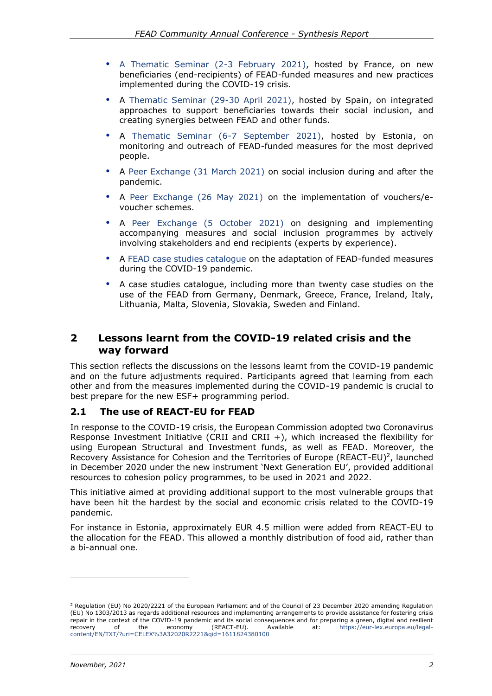- [A Thematic Seminar \(2-3 February 2021\),](https://ec.europa.eu/social/main.jsp?langId=en&catId=1207&eventsId=1797&furtherEvents=yes) hosted by France, on new beneficiaries (end-recipients) of FEAD-funded measures and new practices implemented during the COVID-19 crisis.
- A [Thematic Seminar \(29-30 April 2021\),](https://ec.europa.eu/social/main.jsp?langId=en&catId=1207&eventsId=1862&furtherEvents=yes) hosted by Spain, on integrated approaches to support beneficiaries towards their social inclusion, and creating synergies between FEAD and other funds.
- A [Thematic Seminar \(6-7 September 2021\),](https://ec.europa.eu/social/main.jsp?langId=en&catId=1207&eventsId=1862&furtherEvents=yes) hosted by Estonia, on monitoring and outreach of FEAD-funded measures for the most deprived people.
- A [Peer Exchange \(31 March 2021\)](https://ec.europa.eu/social/main.jsp?langId=en&catId=1089&eventsId=1897&furtherEvents=yes) on social inclusion during and after the pandemic.
- A [Peer Exchange \(26 May 2021\)](https://ec.europa.eu/social/main.jsp?langId=en&catId=1089&eventsId=1898&furtherEvents=yes) on the implementation of vouchers/evoucher schemes.
- A [Peer Exchange \(5 October 2021\)](https://ec.europa.eu/social/main.jsp?langId=en&catId=89&newsId=10090&furtherNews=yes#navItem-1) on designing and implementing accompanying measures and social inclusion programmes by actively involving stakeholders and end recipients (experts by experience).
- A [FEAD case studies catalogue](https://ec.europa.eu/social/BlobServlet?docId=23203&langId=en) on the adaptation of FEAD-funded measures during the COVID-19 pandemic.
- A case studies catalogue, including more than twenty case studies on the use of the FEAD from Germany, Denmark, Greece, France, Ireland, Italy, Lithuania, Malta, Slovenia, Slovakia, Sweden and Finland.

### <span id="page-6-0"></span>**2 Lessons learnt from the COVID-19 related crisis and the way forward**

This section reflects the discussions on the lessons learnt from the COVID-19 pandemic and on the future adjustments required. Participants agreed that learning from each other and from the measures implemented during the COVID-19 pandemic is crucial to best prepare for the new ESF+ programming period.

#### **2.1 The use of REACT-EU for FEAD**

In response to the COVID-19 crisis, the European Commission adopted two Coronavirus Response Investment Initiative (CRII and CRII +), which increased the flexibility for using European Structural and Investment funds, as well as FEAD. Moreover, the Recovery Assistance for Cohesion and the Territories of Europe (REACT-EU)<sup>2</sup>, launched in December 2020 under the new instrument 'Next Generation EU', provided additional resources to cohesion policy programmes, to be used in 2021 and 2022.

This initiative aimed at providing additional support to the most vulnerable groups that have been hit the hardest by the social and economic crisis related to the COVID-19 pandemic.

For instance in Estonia, approximately EUR 4.5 million were added from REACT-EU to the allocation for the FEAD. This allowed a monthly distribution of food aid, rather than a bi-annual one.

<sup>&</sup>lt;sup>2</sup> Regulation (EU) No 2020/2221 of the European Parliament and of the Council of 23 December 2020 amending Regulation (EU) No 1303/2013 as regards additional resources and implementing arrangements to provide assistance for fostering crisis repair in the context of the COVID-19 pandemic and its social consequences and for preparing a green, digital and resilient<br>recovery of the economy (REACT-FU), Available at: https://eur-lex.europa.eu/legalrecovery of the economy (REACT-EU). Available at: [https://eur-lex.europa.eu/legal](https://eur-lex.europa.eu/legal-content/EN/TXT/?uri=CELEX%3A32020R2221&qid=1611824380100)[content/EN/TXT/?uri=CELEX%3A32020R2221&qid=1611824380100](https://eur-lex.europa.eu/legal-content/EN/TXT/?uri=CELEX%3A32020R2221&qid=1611824380100)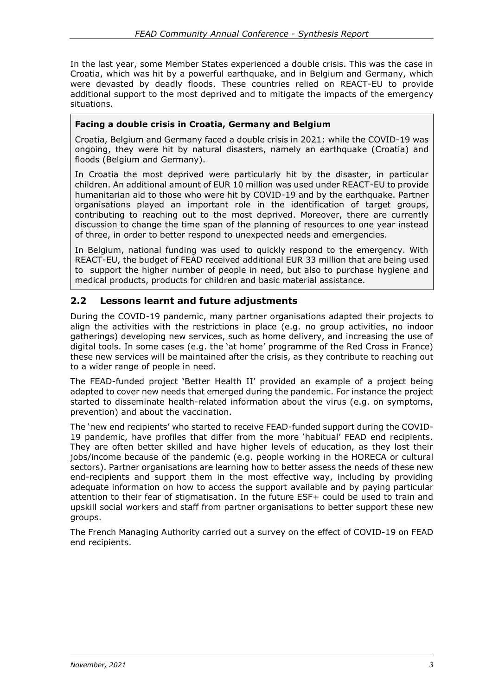In the last year, some Member States experienced a double crisis. This was the case in Croatia, which was hit by a powerful earthquake, and in Belgium and Germany, which were devasted by deadly floods. These countries relied on REACT-EU to provide additional support to the most deprived and to mitigate the impacts of the emergency situations.

#### **Facing a double crisis in Croatia, Germany and Belgium**

Croatia, Belgium and Germany faced a double crisis in 2021: while the COVID-19 was ongoing, they were hit by natural disasters, namely an earthquake (Croatia) and floods (Belgium and Germany).

In Croatia the most deprived were particularly hit by the disaster, in particular children. An additional amount of EUR 10 million was used under REACT-EU to provide humanitarian aid to those who were hit by COVID-19 and by the earthquake. Partner organisations played an important role in the identification of target groups, contributing to reaching out to the most deprived. Moreover, there are currently discussion to change the time span of the planning of resources to one year instead of three, in order to better respond to unexpected needs and emergencies.

In Belgium, national funding was used to quickly respond to the emergency. With REACT-EU, the budget of FEAD received additional EUR 33 million that are being used to support the higher number of people in need, but also to purchase hygiene and medical products, products for children and basic material assistance.

#### **2.2 Lessons learnt and future adjustments**

During the COVID-19 pandemic, many partner organisations adapted their projects to align the activities with the restrictions in place (e.g. no group activities, no indoor gatherings) developing new services, such as home delivery, and increasing the use of digital tools. In some cases (e.g. the 'at home' programme of the Red Cross in France) these new services will be maintained after the crisis, as they contribute to reaching out to a wider range of people in need.

The FEAD-funded project 'Better Health II' provided an example of a project being adapted to cover new needs that emerged during the pandemic. For instance the project started to disseminate health-related information about the virus (e.g. on symptoms, prevention) and about the vaccination.

The 'new end recipients' who started to receive FEAD-funded support during the COVID-19 pandemic, have profiles that differ from the more 'habitual' FEAD end recipients. They are often better skilled and have higher levels of education, as they lost their jobs/income because of the pandemic (e.g. people working in the HORECA or cultural sectors). Partner organisations are learning how to better assess the needs of these new end-recipients and support them in the most effective way, including by providing adequate information on how to access the support available and by paying particular attention to their fear of stigmatisation. In the future ESF+ could be used to train and upskill social workers and staff from partner organisations to better support these new groups.

The French Managing Authority carried out a survey on the effect of COVID-19 on FEAD end recipients.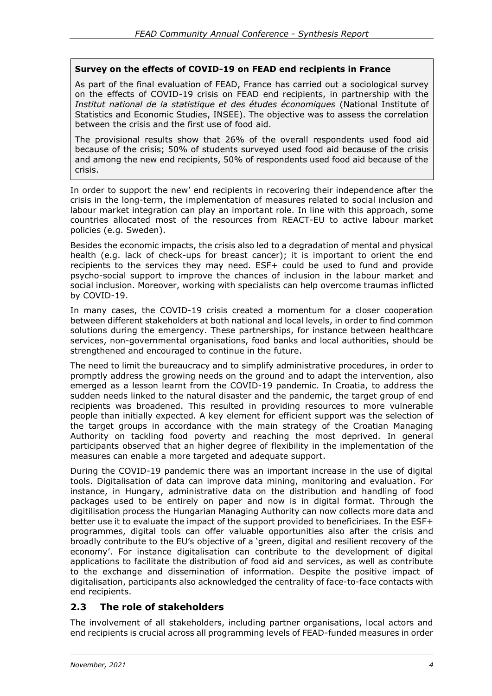#### **Survey on the effects of COVID-19 on FEAD end recipients in France**

As part of the final evaluation of FEAD, France has carried out a sociological survey on the effects of COVID-19 crisis on FEAD end recipients, in partnership with the *Institut national de la statistique et des études économiques* (National Institute of Statistics and Economic Studies, INSEE). The objective was to assess the correlation between the crisis and the first use of food aid.

The provisional results show that 26% of the overall respondents used food aid because of the crisis; 50% of students surveyed used food aid because of the crisis and among the new end recipients, 50% of respondents used food aid because of the crisis.

In order to support the new' end recipients in recovering their independence after the crisis in the long-term, the implementation of measures related to social inclusion and labour market integration can play an important role. In line with this approach, some countries allocated most of the resources from REACT-EU to active labour market policies (e.g. Sweden).

Besides the economic impacts, the crisis also led to a degradation of mental and physical health (e.g. lack of check-ups for breast cancer); it is important to orient the end recipients to the services they may need. ESF+ could be used to fund and provide psycho-social support to improve the chances of inclusion in the labour market and social inclusion. Moreover, working with specialists can help overcome traumas inflicted by COVID-19.

In many cases, the COVID-19 crisis created a momentum for a closer cooperation between different stakeholders at both national and local levels, in order to find common solutions during the emergency. These partnerships, for instance between healthcare services, non-governmental organisations, food banks and local authorities, should be strengthened and encouraged to continue in the future.

The need to limit the bureaucracy and to simplify administrative procedures, in order to promptly address the growing needs on the ground and to adapt the intervention, also emerged as a lesson learnt from the COVID-19 pandemic. In Croatia, to address the sudden needs linked to the natural disaster and the pandemic, the target group of end recipients was broadened. This resulted in providing resources to more vulnerable people than initially expected. A key element for efficient support was the selection of the target groups in accordance with the main strategy of the Croatian Managing Authority on tackling food poverty and reaching the most deprived. In general participants observed that an higher degree of flexibility in the implementation of the measures can enable a more targeted and adequate support.

During the COVID-19 pandemic there was an important increase in the use of digital tools. Digitalisation of data can improve data mining, monitoring and evaluation. For instance, in Hungary, administrative data on the distribution and handling of food packages used to be entirely on paper and now is in digital format. Through the digitilisation process the Hungarian Managing Authority can now collects more data and better use it to evaluate the impact of the support provided to beneficiriaes. In the ESF+ programmes, digital tools can offer valuable opportunities also after the crisis and broadly contribute to the EU's objective of a 'green, digital and resilient recovery of the economy'. For instance digitalisation can contribute to the development of digital applications to facilitate the distribution of food aid and services, as well as contribute to the exchange and dissemination of information. Despite the positive impact of digitalisation, participants also acknowledged the centrality of face-to-face contacts with end recipients.

#### **2.3 The role of stakeholders**

The involvement of all stakeholders, including partner organisations, local actors and end recipients is crucial across all programming levels of FEAD-funded measures in order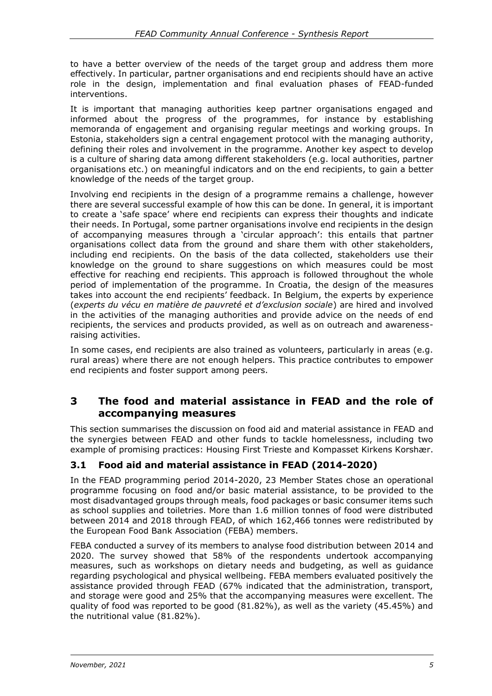to have a better overview of the needs of the target group and address them more effectively. In particular, partner organisations and end recipients should have an active role in the design, implementation and final evaluation phases of FEAD-funded interventions.

It is important that managing authorities keep partner organisations engaged and informed about the progress of the programmes, for instance by establishing memoranda of engagement and organising regular meetings and working groups. In Estonia, stakeholders sign a central engagement protocol with the managing authority, defining their roles and involvement in the programme. Another key aspect to develop is a culture of sharing data among different stakeholders (e.g. local authorities, partner organisations etc.) on meaningful indicators and on the end recipients, to gain a better knowledge of the needs of the target group.

Involving end recipients in the design of a programme remains a challenge, however there are several successful example of how this can be done. In general, it is important to create a 'safe space' where end recipients can express their thoughts and indicate their needs. In Portugal, some partner organisations involve end recipients in the design of accompanying measures through a 'circular approach': this entails that partner organisations collect data from the ground and share them with other stakeholders, including end recipients. On the basis of the data collected, stakeholders use their knowledge on the ground to share suggestions on which measures could be most effective for reaching end recipients. This approach is followed throughout the whole period of implementation of the programme. In Croatia, the design of the measures takes into account the end recipients' feedback. In Belgium, the experts by experience (*experts du vécu en matière de pauvreté et d'exclusion sociale*) are hired and involved in the activities of the managing authorities and provide advice on the needs of end recipients, the services and products provided, as well as on outreach and awarenessraising activities.

In some cases, end recipients are also trained as volunteers, particularly in areas (e.g. rural areas) where there are not enough helpers. This practice contributes to empower end recipients and foster support among peers.

### <span id="page-9-0"></span>**3 The food and material assistance in FEAD and the role of accompanying measures**

This section summarises the discussion on food aid and material assistance in FEAD and the synergies between FEAD and other funds to tackle homelessness, including two example of promising practices: Housing First Trieste and Kompasset Kirkens Korshær.

#### **3.1 Food aid and material assistance in FEAD (2014-2020)**

In the FEAD programming period 2014-2020, 23 Member States chose an operational programme focusing on food and/or basic material assistance, to be provided to the most disadvantaged groups through meals, food packages or basic consumer items such as school supplies and toiletries. More than 1.6 million tonnes of food were distributed between 2014 and 2018 through FEAD, of which 162,466 tonnes were redistributed by the European Food Bank Association (FEBA) members.

FEBA conducted a survey of its members to analyse food distribution between 2014 and 2020. The survey showed that 58% of the respondents undertook accompanying measures, such as workshops on dietary needs and budgeting, as well as guidance regarding psychological and physical wellbeing. FEBA members evaluated positively the assistance provided through FEAD (67% indicated that the administration, transport, and storage were good and 25% that the accompanying measures were excellent. The quality of food was reported to be good (81.82%), as well as the variety (45.45%) and the nutritional value (81.82%).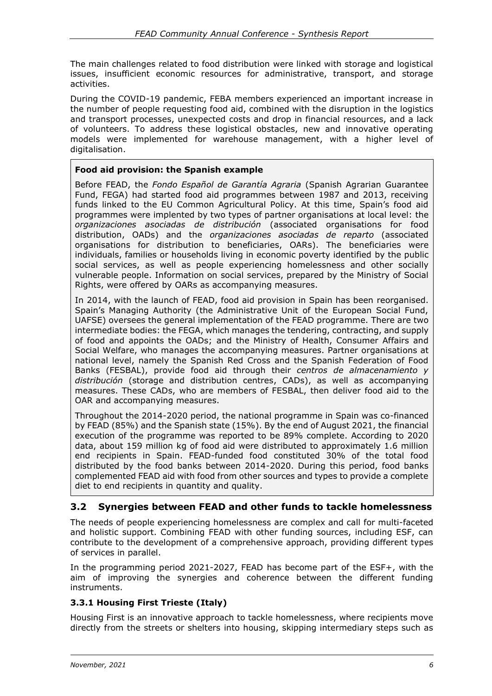The main challenges related to food distribution were linked with storage and logistical issues, insufficient economic resources for administrative, transport, and storage activities.

During the COVID-19 pandemic, FEBA members experienced an important increase in the number of people requesting food aid, combined with the disruption in the logistics and transport processes, unexpected costs and drop in financial resources, and a lack of volunteers. To address these logistical obstacles, new and innovative operating models were implemented for warehouse management, with a higher level of digitalisation.

#### **Food aid provision: the Spanish example**

Before FEAD, the *Fondo Español de Garantía Agraria* (Spanish Agrarian Guarantee Fund, FEGA) had started food aid programmes between 1987 and 2013, receiving funds linked to the EU Common Agricultural Policy. At this time, Spain's food aid programmes were implented by two types of partner organisations at local level: the *organizaciones asociadas de distribución* (associated organisations for food distribution, OADs) and the *organizaciones asociadas de reparto* (associated organisations for distribution to beneficiaries, OARs). The beneficiaries were individuals, families or households living in economic poverty identified by the public social services, as well as people experiencing homelessness and other socially vulnerable people. Information on social services, prepared by the Ministry of Social Rights, were offered by OARs as accompanying measures.

In 2014, with the launch of FEAD, food aid provision in Spain has been reorganised. Spain's Managing Authority (the Administrative Unit of the European Social Fund, UAFSE) oversees the general implementation of the FEAD programme. There are two intermediate bodies: the FEGA, which manages the tendering, contracting, and supply of food and appoints the OADs; and the Ministry of Health, Consumer Affairs and Social Welfare, who manages the accompanying measures. Partner organisations at national level, namely the Spanish Red Cross and the Spanish Federation of Food Banks (FESBAL), provide food aid through their *centros de almacenamiento y distribución* (storage and distribution centres, CADs), as well as accompanying measures. These CADs, who are members of FESBAL, then deliver food aid to the OAR and accompanying measures.

Throughout the 2014-2020 period, the national programme in Spain was co-financed by FEAD (85%) and the Spanish state (15%). By the end of August 2021, the financial execution of the programme was reported to be 89% complete. According to 2020 data, about 159 million kg of food aid were distributed to approximately 1.6 million end recipients in Spain. FEAD-funded food constituted 30% of the total food distributed by the food banks between 2014-2020. During this period, food banks complemented FEAD aid with food from other sources and types to provide a complete diet to end recipients in quantity and quality.

#### **3.2 Synergies between FEAD and other funds to tackle homelessness**

The needs of people experiencing homelessness are complex and call for multi-faceted and holistic support. Combining FEAD with other funding sources, including ESF, can contribute to the development of a comprehensive approach, providing different types of services in parallel.

In the programming period 2021-2027, FEAD has become part of the ESF+, with the aim of improving the synergies and coherence between the different funding instruments.

#### **3.3.1 Housing First Trieste (Italy)**

Housing First is an innovative approach to tackle homelessness, where recipients move directly from the streets or shelters into housing, skipping intermediary steps such as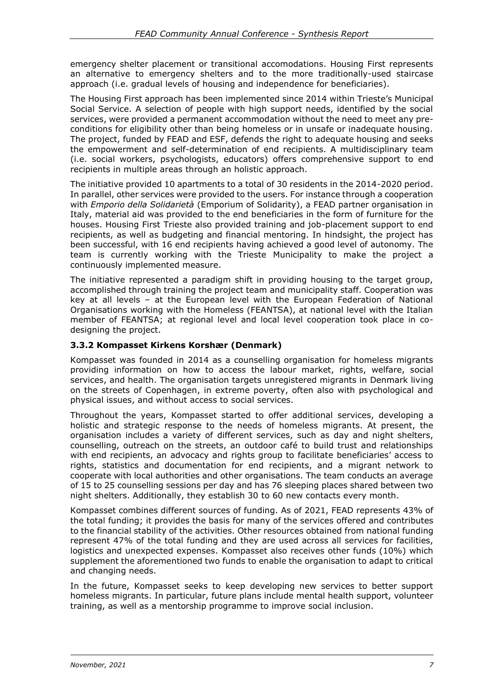emergency shelter placement or transitional accomodations. Housing First represents an alternative to emergency shelters and to the more traditionally-used staircase approach (i.e. gradual levels of housing and independence for beneficiaries).

The Housing First approach has been implemented since 2014 within Trieste's Municipal Social Service. A selection of people with high support needs, identified by the social services, were provided a permanent accommodation without the need to meet any preconditions for eligibility other than being homeless or in unsafe or inadequate housing. The project, funded by FEAD and ESF, defends the right to adequate housing and seeks the empowerment and self-determination of end recipients. A multidisciplinary team (i.e. social workers, psychologists, educators) offers comprehensive support to end recipients in multiple areas through an holistic approach.

The initiative provided 10 apartments to a total of 30 residents in the 2014-2020 period. In parallel, other services were provided to the users. For instance through a cooperation with *Emporio della Solidarietà* (Emporium of Solidarity), a FEAD partner organisation in Italy, material aid was provided to the end beneficiaries in the form of furniture for the houses. Housing First Trieste also provided training and job-placement support to end recipients, as well as budgeting and financial mentoring. In hindsight, the project has been successful, with 16 end recipients having achieved a good level of autonomy. The team is currently working with the Trieste Municipality to make the project a continuously implemented measure.

The initiative represented a paradigm shift in providing housing to the target group, accomplished through training the project team and municipality staff. Cooperation was key at all levels – at the European level with the European Federation of National Organisations working with the Homeless (FEANTSA), at national level with the Italian member of FEANTSA; at regional level and local level cooperation took place in codesigning the project.

#### **3.3.2 Kompasset Kirkens Korshær (Denmark)**

Kompasset was founded in 2014 as a counselling organisation for homeless migrants providing information on how to access the labour market, rights, welfare, social services, and health. The organisation targets unregistered migrants in Denmark living on the streets of Copenhagen, in extreme poverty, often also with psychological and physical issues, and without access to social services.

Throughout the years, Kompasset started to offer additional services, developing a holistic and strategic response to the needs of homeless migrants. At present, the organisation includes a variety of different services, such as day and night shelters, counselling, outreach on the streets, an outdoor café to build trust and relationships with end recipients, an advocacy and rights group to facilitate beneficiaries' access to rights, statistics and documentation for end recipients, and a migrant network to cooperate with local authorities and other organisations. The team conducts an average of 15 to 25 counselling sessions per day and has 76 sleeping places shared between two night shelters. Additionally, they establish 30 to 60 new contacts every month.

Kompasset combines different sources of funding. As of 2021, FEAD represents 43% of the total funding; it provides the basis for many of the services offered and contributes to the financial stability of the activities. Other resources obtained from national funding represent 47% of the total funding and they are used across all services for facilities, logistics and unexpected expenses. Kompasset also receives other funds (10%) which supplement the aforementioned two funds to enable the organisation to adapt to critical and changing needs.

In the future, Kompasset seeks to keep developing new services to better support homeless migrants. In particular, future plans include mental health support, volunteer training, as well as a mentorship programme to improve social inclusion.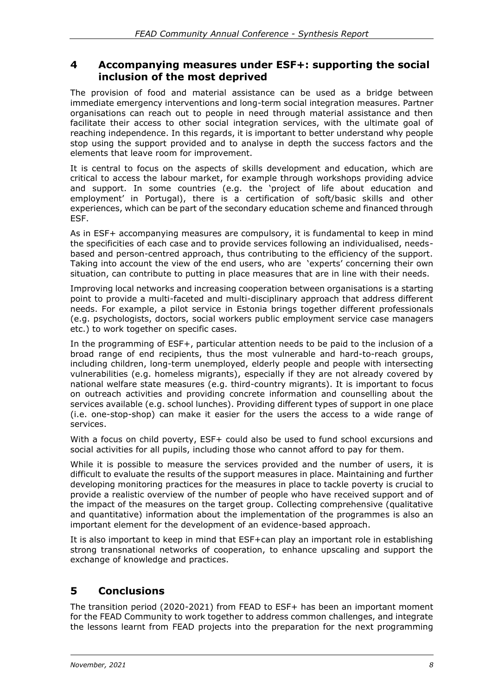#### <span id="page-12-0"></span>**4 Accompanying measures under ESF+: supporting the social inclusion of the most deprived**

The provision of food and material assistance can be used as a bridge between immediate emergency interventions and long-term social integration measures. Partner organisations can reach out to people in need through material assistance and then facilitate their access to other social integration services, with the ultimate goal of reaching independence. In this regards, it is important to better understand why people stop using the support provided and to analyse in depth the success factors and the elements that leave room for improvement.

It is central to focus on the aspects of skills development and education, which are critical to access the labour market, for example through workshops providing advice and support. In some countries (e.g. the 'project of life about education and employment' in Portugal), there is a certification of soft/basic skills and other experiences, which can be part of the secondary education scheme and financed through ESF.

As in ESF+ accompanying measures are compulsory, it is fundamental to keep in mind the specificities of each case and to provide services following an individualised, needsbased and person-centred approach, thus contributing to the efficiency of the support. Taking into account the view of the end users, who are 'experts' concerning their own situation, can contribute to putting in place measures that are in line with their needs.

Improving local networks and increasing cooperation between organisations is a starting point to provide a multi-faceted and multi-disciplinary approach that address different needs. For example, a pilot service in Estonia brings together different professionals (e.g. psychologists, doctors, social workers public employment service case managers etc.) to work together on specific cases.

In the programming of ESF+, particular attention needs to be paid to the inclusion of a broad range of end recipients, thus the most vulnerable and hard-to-reach groups, including children, long-term unemployed, elderly people and people with intersecting vulnerabilities (e.g. homeless migrants), especially if they are not already covered by national welfare state measures (e.g. third-country migrants). It is important to focus on outreach activities and providing concrete information and counselling about the services available (e.g. school lunches). Providing different types of support in one place (i.e. one-stop-shop) can make it easier for the users the access to a wide range of services.

With a focus on child poverty, ESF+ could also be used to fund school excursions and social activities for all pupils, including those who cannot afford to pay for them.

While it is possible to measure the services provided and the number of users, it is difficult to evaluate the results of the support measures in place. Maintaining and further developing monitoring practices for the measures in place to tackle poverty is crucial to provide a realistic overview of the number of people who have received support and of the impact of the measures on the target group. Collecting comprehensive (qualitative and quantitative) information about the implementation of the programmes is also an important element for the development of an evidence-based approach.

It is also important to keep in mind that ESF+can play an important role in establishing strong transnational networks of cooperation, to enhance upscaling and support the exchange of knowledge and practices.

## <span id="page-12-1"></span>**5 Conclusions**

The transition period (2020-2021) from FEAD to ESF+ has been an important moment for the FEAD Community to work together to address common challenges, and integrate the lessons learnt from FEAD projects into the preparation for the next programming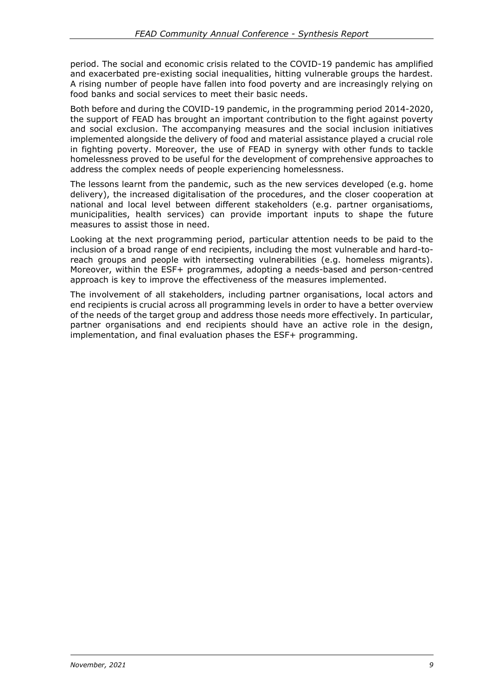period. The social and economic crisis related to the COVID-19 pandemic has amplified and exacerbated pre-existing social inequalities, hitting vulnerable groups the hardest. A rising number of people have fallen into food poverty and are increasingly relying on food banks and social services to meet their basic needs.

Both before and during the COVID-19 pandemic, in the programming period 2014-2020, the support of FEAD has brought an important contribution to the fight against poverty and social exclusion. The accompanying measures and the social inclusion initiatives implemented alongside the delivery of food and material assistance played a crucial role in fighting poverty. Moreover, the use of FEAD in synergy with other funds to tackle homelessness proved to be useful for the development of comprehensive approaches to address the complex needs of people experiencing homelessness.

The lessons learnt from the pandemic, such as the new services developed (e.g. home delivery), the increased digitalisation of the procedures, and the closer cooperation at national and local level between different stakeholders (e.g. partner organisatioms, municipalities, health services) can provide important inputs to shape the future measures to assist those in need.

Looking at the next programming period, particular attention needs to be paid to the inclusion of a broad range of end recipients, including the most vulnerable and hard-toreach groups and people with intersecting vulnerabilities (e.g. homeless migrants). Moreover, within the ESF+ programmes, adopting a needs-based and person-centred approach is key to improve the effectiveness of the measures implemented.

The involvement of all stakeholders, including partner organisations, local actors and end recipients is crucial across all programming levels in order to have a better overview of the needs of the target group and address those needs more effectively. In particular, partner organisations and end recipients should have an active role in the design, implementation, and final evaluation phases the ESF+ programming.